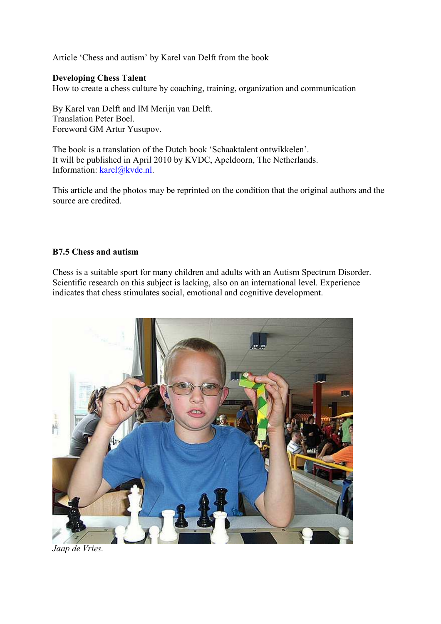Article 'Chess and autism' by Karel van Delft from the book

# Developing Chess Talent

How to create a chess culture by coaching, training, organization and communication

By Karel van Delft and IM Merijn van Delft. Translation Peter Boel. Foreword GM Artur Yusupov.

The book is a translation of the Dutch book 'Schaaktalent ontwikkelen'. It will be published in April 2010 by KVDC, Apeldoorn, The Netherlands. Information: karel@kvdc.nl.

This article and the photos may be reprinted on the condition that the original authors and the source are credited.

## B7.5 Chess and autism

Chess is a suitable sport for many children and adults with an Autism Spectrum Disorder. Scientific research on this subject is lacking, also on an international level. Experience indicates that chess stimulates social, emotional and cognitive development.



Jaap de Vries.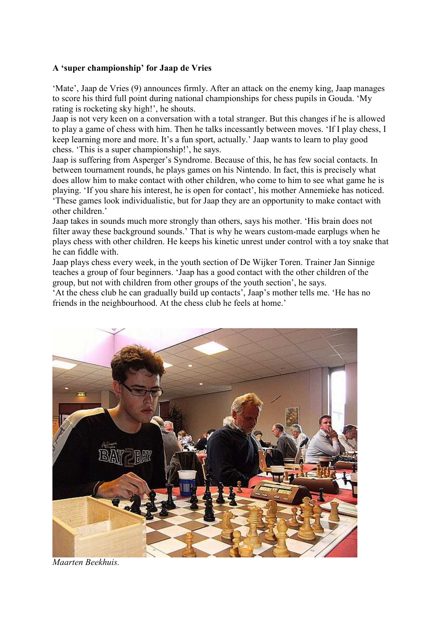## A 'super championship' for Jaap de Vries

'Mate', Jaap de Vries (9) announces firmly. After an attack on the enemy king, Jaap manages to score his third full point during national championships for chess pupils in Gouda. 'My rating is rocketing sky high!', he shouts.

Jaap is not very keen on a conversation with a total stranger. But this changes if he is allowed to play a game of chess with him. Then he talks incessantly between moves. 'If I play chess, I keep learning more and more. It's a fun sport, actually.' Jaap wants to learn to play good chess. 'This is a super championship!', he says.

Jaap is suffering from Asperger's Syndrome. Because of this, he has few social contacts. In between tournament rounds, he plays games on his Nintendo. In fact, this is precisely what does allow him to make contact with other children, who come to him to see what game he is playing. 'If you share his interest, he is open for contact', his mother Annemieke has noticed. 'These games look individualistic, but for Jaap they are an opportunity to make contact with other children.'

Jaap takes in sounds much more strongly than others, says his mother. 'His brain does not filter away these background sounds.' That is why he wears custom-made earplugs when he plays chess with other children. He keeps his kinetic unrest under control with a toy snake that he can fiddle with.

Jaap plays chess every week, in the youth section of De Wijker Toren. Trainer Jan Sinnige teaches a group of four beginners. 'Jaap has a good contact with the other children of the group, but not with children from other groups of the youth section', he says.

'At the chess club he can gradually build up contacts', Jaap's mother tells me. 'He has no friends in the neighbourhood. At the chess club he feels at home.'



Maarten Beekhuis.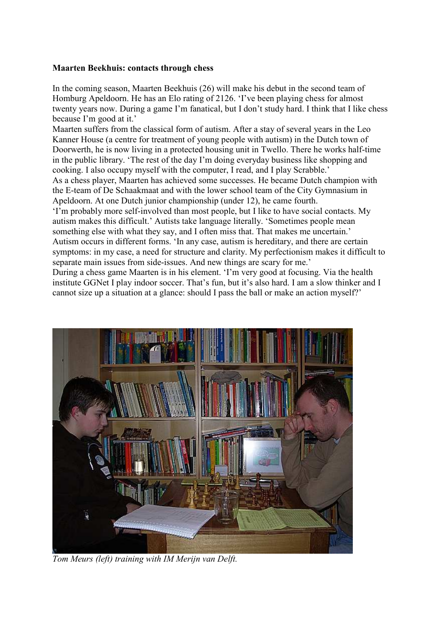## Maarten Beekhuis: contacts through chess

In the coming season, Maarten Beekhuis (26) will make his debut in the second team of Homburg Apeldoorn. He has an Elo rating of 2126. 'I've been playing chess for almost twenty years now. During a game I'm fanatical, but I don't study hard. I think that I like chess because I'm good at it.'

Maarten suffers from the classical form of autism. After a stay of several years in the Leo Kanner House (a centre for treatment of young people with autism) in the Dutch town of Doorwerth, he is now living in a protected housing unit in Twello. There he works half-time in the public library. 'The rest of the day I'm doing everyday business like shopping and cooking. I also occupy myself with the computer, I read, and I play Scrabble.'

As a chess player, Maarten has achieved some successes. He became Dutch champion with the E-team of De Schaakmaat and with the lower school team of the City Gymnasium in Apeldoorn. At one Dutch junior championship (under 12), he came fourth.

'I'm probably more self-involved than most people, but I like to have social contacts. My autism makes this difficult.' Autists take language literally. 'Sometimes people mean something else with what they say, and I often miss that. That makes me uncertain.' Autism occurs in different forms. 'In any case, autism is hereditary, and there are certain symptoms: in my case, a need for structure and clarity. My perfectionism makes it difficult to separate main issues from side-issues. And new things are scary for me.'

During a chess game Maarten is in his element. 'I'm very good at focusing. Via the health institute GGNet I play indoor soccer. That's fun, but it's also hard. I am a slow thinker and I cannot size up a situation at a glance: should I pass the ball or make an action myself?'



Tom Meurs (left) training with IM Merijn van Delft.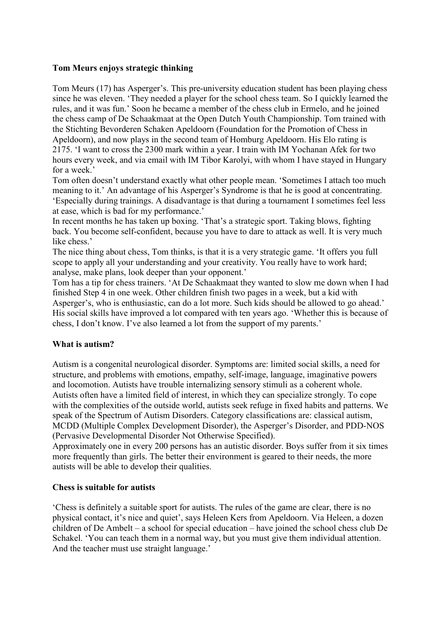# Tom Meurs enjoys strategic thinking

Tom Meurs (17) has Asperger's. This pre-university education student has been playing chess since he was eleven. 'They needed a player for the school chess team. So I quickly learned the rules, and it was fun.' Soon he became a member of the chess club in Ermelo, and he joined the chess camp of De Schaakmaat at the Open Dutch Youth Championship. Tom trained with the Stichting Bevorderen Schaken Apeldoorn (Foundation for the Promotion of Chess in Apeldoorn), and now plays in the second team of Homburg Apeldoorn. His Elo rating is 2175. 'I want to cross the 2300 mark within a year. I train with IM Yochanan Afek for two hours every week, and via email with IM Tibor Karolyi, with whom I have stayed in Hungary for a week.'

Tom often doesn't understand exactly what other people mean. 'Sometimes I attach too much meaning to it.' An advantage of his Asperger's Syndrome is that he is good at concentrating. 'Especially during trainings. A disadvantage is that during a tournament I sometimes feel less at ease, which is bad for my performance.'

In recent months he has taken up boxing. 'That's a strategic sport. Taking blows, fighting back. You become self-confident, because you have to dare to attack as well. It is very much like chess<sup>'</sup>

The nice thing about chess, Tom thinks, is that it is a very strategic game. 'It offers you full scope to apply all your understanding and your creativity. You really have to work hard; analyse, make plans, look deeper than your opponent.'

Tom has a tip for chess trainers. 'At De Schaakmaat they wanted to slow me down when I had finished Step 4 in one week. Other children finish two pages in a week, but a kid with Asperger's, who is enthusiastic, can do a lot more. Such kids should be allowed to go ahead.' His social skills have improved a lot compared with ten years ago. 'Whether this is because of chess, I don't know. I've also learned a lot from the support of my parents.'

### What is autism?

Autism is a congenital neurological disorder. Symptoms are: limited social skills, a need for structure, and problems with emotions, empathy, self-image, language, imaginative powers and locomotion. Autists have trouble internalizing sensory stimuli as a coherent whole. Autists often have a limited field of interest, in which they can specialize strongly. To cope with the complexities of the outside world, autists seek refuge in fixed habits and patterns. We speak of the Spectrum of Autism Disorders. Category classifications are: classical autism, MCDD (Multiple Complex Development Disorder), the Asperger's Disorder, and PDD-NOS (Pervasive Developmental Disorder Not Otherwise Specified).

Approximately one in every 200 persons has an autistic disorder. Boys suffer from it six times more frequently than girls. The better their environment is geared to their needs, the more autists will be able to develop their qualities.

### Chess is suitable for autists

'Chess is definitely a suitable sport for autists. The rules of the game are clear, there is no physical contact, it's nice and quiet', says Heleen Kers from Apeldoorn. Via Heleen, a dozen children of De Ambelt – a school for special education – have joined the school chess club De Schakel. 'You can teach them in a normal way, but you must give them individual attention. And the teacher must use straight language.'